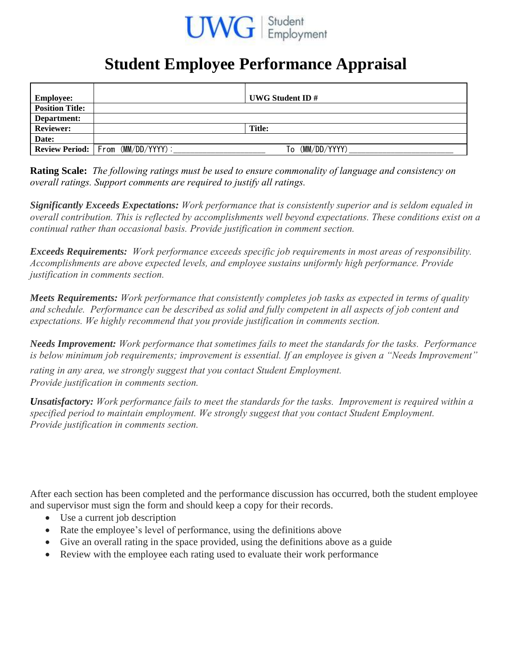

## **Student Employee Performance Appraisal**

| <b>Employee:</b>       |                                               | UWG Student ID $#$ |
|------------------------|-----------------------------------------------|--------------------|
| <b>Position Title:</b> |                                               |                    |
| Department:            |                                               |                    |
| <b>Reviewer:</b>       |                                               | <b>Title:</b>      |
| Date:                  |                                               |                    |
|                        | <b>Review Period:</b>   From $(MM/DD/YYYY)$ : | (MM/DD/YYYY)<br>To |

**Rating Scale:** *The following ratings must be used to ensure commonality of language and consistency on overall ratings. Support comments are required to justify all ratings.* 

*Significantly Exceeds Expectations: Work performance that is consistently superior and is seldom equaled in overall contribution. This is reflected by accomplishments well beyond expectations. These conditions exist on a continual rather than occasional basis. Provide justification in comment section.* 

*Exceeds Requirements: Work performance exceeds specific job requirements in most areas of responsibility. Accomplishments are above expected levels, and employee sustains uniformly high performance. Provide justification in comments section.*

*Meets Requirements: Work performance that consistently completes job tasks as expected in terms of quality and schedule. Performance can be described as solid and fully competent in all aspects of job content and expectations. We highly recommend that you provide justification in comments section.*

*Needs Improvement: Work performance that sometimes fails to meet the standards for the tasks. Performance is below minimum job requirements; improvement is essential. If an employee is given a "Needs Improvement"* 

*rating in any area, we strongly suggest that you contact Student Employment. Provide justification in comments section.*

*Unsatisfactory: Work performance fails to meet the standards for the tasks. Improvement is required within a specified period to maintain employment. We strongly suggest that you contact Student Employment. Provide justification in comments section.*

After each section has been completed and the performance discussion has occurred, both the student employee and supervisor must sign the form and should keep a copy for their records.

- Use a current job description
- Rate the employee's level of performance, using the definitions above
- Give an overall rating in the space provided, using the definitions above as a guide
- Review with the employee each rating used to evaluate their work performance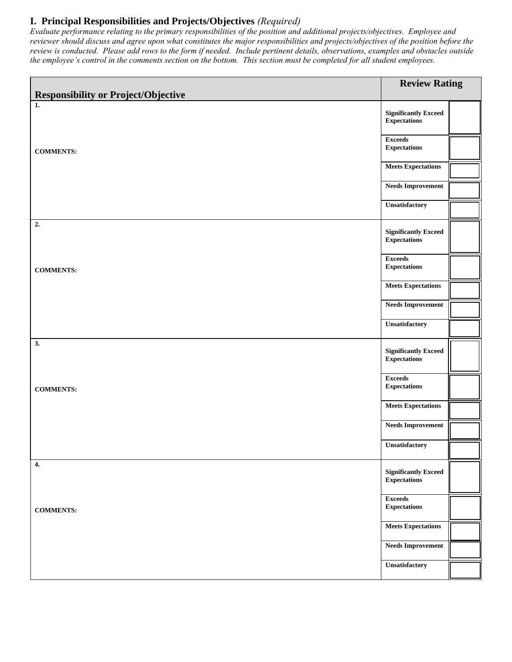## **I. Principal Responsibilities and Projects/Objectives** *(Required)*

*Evaluate performance relating to the primary responsibilities of the position and additional projects/objectives. Employee and reviewer should discuss and agree upon what constitutes the major responsibilities and projects/objectives of the position before the review is conducted. Please add rows to the form if needed. Include pertinent details, observations, examples and obstacles outside the employee's control in the comments section on the bottom. This section must be completed for all student employees.*

| <b>Responsibility or Project/Objective</b> | <b>Review Rating</b>                               |  |
|--------------------------------------------|----------------------------------------------------|--|
| $\overline{1}$ .                           |                                                    |  |
|                                            | <b>Significantly Exceed</b><br><b>Expectations</b> |  |
| <b>COMMENTS:</b>                           | <b>Exceeds</b><br><b>Expectations</b>              |  |
|                                            | <b>Meets Expectations</b>                          |  |
|                                            | <b>Needs Improvement</b>                           |  |
|                                            | <b>Unsatisfactory</b>                              |  |
| 2.                                         | <b>Significantly Exceed</b><br><b>Expectations</b> |  |
| <b>COMMENTS:</b>                           | <b>Exceeds</b><br><b>Expectations</b>              |  |
|                                            | <b>Meets Expectations</b>                          |  |
|                                            | <b>Needs Improvement</b>                           |  |
|                                            | Unsatisfactory                                     |  |
| 3.                                         | <b>Significantly Exceed</b><br><b>Expectations</b> |  |
| <b>COMMENTS:</b>                           | <b>Exceeds</b><br><b>Expectations</b>              |  |
|                                            | <b>Meets Expectations</b>                          |  |
|                                            | <b>Needs Improvement</b>                           |  |
|                                            | Unsatisfactory                                     |  |
| 4.                                         | <b>Significantly Exceed</b><br><b>Expectations</b> |  |
| <b>COMMENTS:</b>                           | <b>Exceeds</b><br><b>Expectations</b>              |  |
|                                            | <b>Meets Expectations</b>                          |  |
|                                            | <b>Needs Improvement</b>                           |  |
|                                            | Unsatisfactory                                     |  |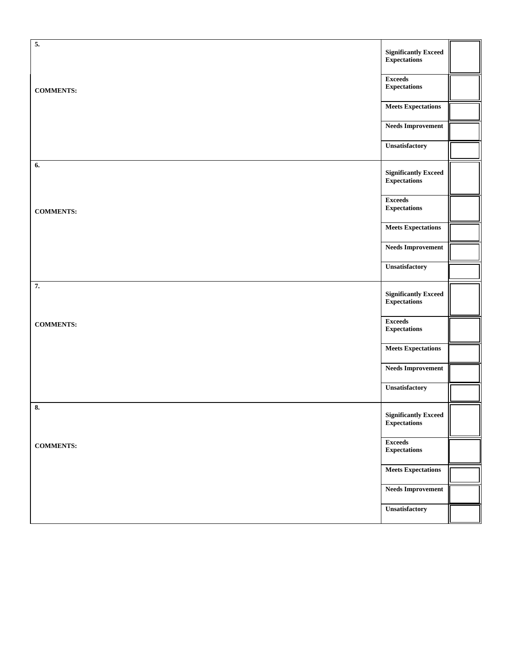| 5.               | <b>Significantly Exceed</b><br><b>Expectations</b> |  |
|------------------|----------------------------------------------------|--|
| <b>COMMENTS:</b> | <b>Exceeds</b><br><b>Expectations</b>              |  |
|                  | <b>Meets Expectations</b>                          |  |
|                  | <b>Needs Improvement</b>                           |  |
|                  | Unsatisfactory                                     |  |
| 6.               | <b>Significantly Exceed</b><br><b>Expectations</b> |  |
| <b>COMMENTS:</b> | <b>Exceeds</b><br><b>Expectations</b>              |  |
|                  | <b>Meets Expectations</b>                          |  |
|                  | <b>Needs Improvement</b>                           |  |
|                  | Unsatisfactory                                     |  |
| 7.               | <b>Significantly Exceed</b><br><b>Expectations</b> |  |
| <b>COMMENTS:</b> | <b>Exceeds</b><br><b>Expectations</b>              |  |
|                  | <b>Meets Expectations</b>                          |  |
|                  | <b>Needs Improvement</b>                           |  |
|                  | Unsatisfactory                                     |  |
| 8.               | <b>Significantly Exceed</b><br><b>Expectations</b> |  |
| <b>COMMENTS:</b> | <b>Exceeds</b><br><b>Expectations</b>              |  |
|                  | <b>Meets Expectations</b>                          |  |
|                  | <b>Needs Improvement</b>                           |  |
|                  | Unsatisfactory                                     |  |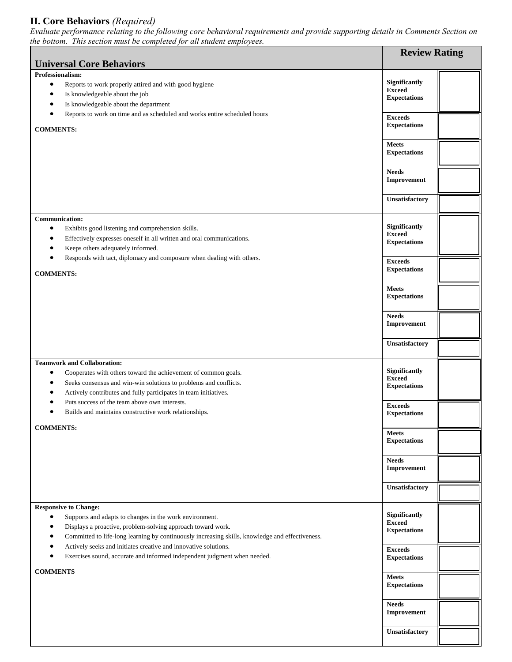## **II. Core Behaviors** *(Required)*

*the bottom. This section must be completed for all student employees.*  **Universal Core Behaviors Review Rating Professionalism:** Reports to work properly attired and with good hygiene Is knowledgeable about the job Is knowledgeable about the department Reports to work on time and as scheduled and works entire scheduled hours **COMMENTS: Significantly Exceed Expectations Exceeds Expectations Meets Expectations Needs Improvement Unsatisfactory Communication:** Exhibits good listening and comprehension skills. Effectively expresses oneself in all written and oral communications. Keeps others adequately informed. Responds with tact, diplomacy and composure when dealing with others. **COMMENTS: Significantly Exceed Expectations Exceeds Expectations Meets Expectations Needs Improvement Unsatisfactory Teamwork and Collaboration:** Cooperates with others toward the achievement of common goals. Seeks consensus and win-win solutions to problems and conflicts. Actively contributes and fully participates in team initiatives. Puts success of the team above own interests. Builds and maintains constructive work relationships. **COMMENTS: Significantly Exceed Expectations Exceeds Expectations Meets Expectations Needs Improvement Unsatisfactory Responsive to Change:** Supports and adapts to changes in the work environment. Displays a proactive, problem-solving approach toward work. Committed to life-long learning by continuously increasing skills, knowledge and effectiveness. Actively seeks and initiates creative and innovative solutions. Exercises sound, accurate and informed independent judgment when needed. **COMMENTS Significantly Exceed Expectations Exceeds Expectations Meets Expectations Needs Improvement Unsatisfactory**

*Evaluate performance relating to the following core behavioral requirements and provide supporting details in Comments Section on*